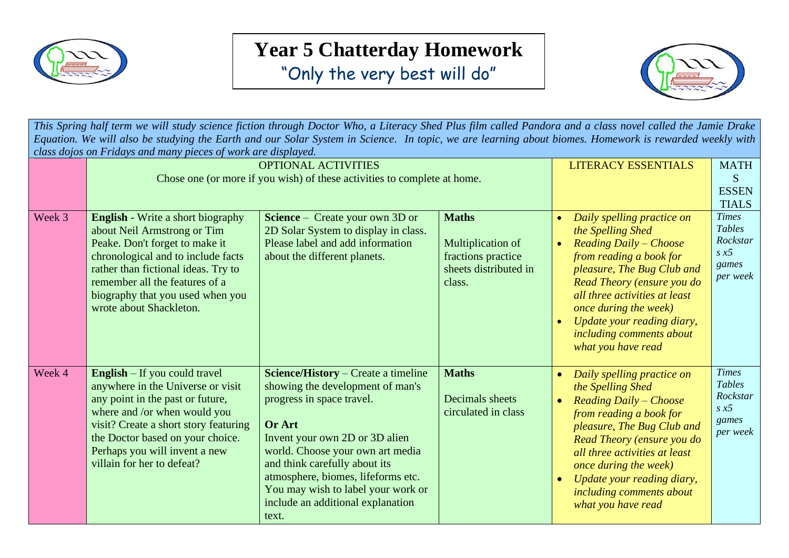

## **Year 5 Chatterday Homework**

"Only the very best will do"



*This Spring half term we will study science fiction through Doctor Who, a Literacy Shed Plus film called Pandora and a class novel called the Jamie Drake Equation. We will also be studying the Earth and our Solar System in Science. In topic, we are learning about biomes. Homework is rewarded weekly with class dojos on Fridays and many pieces of work are displayed.*

|        | enso ao job on 1 mars o ama man's process of work are ansprayed.<br><b>OPTIONAL ACTIVITIES</b>                                                                                                                                                                                              |                                                                                                                                                                                                                                                                                                                                                               |                                                                                            | <b>LITERACY ESSENTIALS</b>                                                                                                                                                                                                                                                                                                                               | <b>MATH</b>                                                                    |
|--------|---------------------------------------------------------------------------------------------------------------------------------------------------------------------------------------------------------------------------------------------------------------------------------------------|---------------------------------------------------------------------------------------------------------------------------------------------------------------------------------------------------------------------------------------------------------------------------------------------------------------------------------------------------------------|--------------------------------------------------------------------------------------------|----------------------------------------------------------------------------------------------------------------------------------------------------------------------------------------------------------------------------------------------------------------------------------------------------------------------------------------------------------|--------------------------------------------------------------------------------|
|        | Chose one (or more if you wish) of these activities to complete at home.                                                                                                                                                                                                                    |                                                                                                                                                                                                                                                                                                                                                               | S<br><b>ESSEN</b>                                                                          |                                                                                                                                                                                                                                                                                                                                                          |                                                                                |
|        |                                                                                                                                                                                                                                                                                             |                                                                                                                                                                                                                                                                                                                                                               | <b>TIALS</b>                                                                               |                                                                                                                                                                                                                                                                                                                                                          |                                                                                |
| Week 3 | <b>English</b> - Write a short biography<br>about Neil Armstrong or Tim<br>Peake. Don't forget to make it<br>chronological and to include facts<br>rather than fictional ideas. Try to<br>remember all the features of a<br>biography that you used when you<br>wrote about Shackleton.     | <b>Science</b> – Create your own 3D or<br>2D Solar System to display in class.<br>Please label and add information<br>about the different planets.                                                                                                                                                                                                            | <b>Maths</b><br>Multiplication of<br>fractions practice<br>sheets distributed in<br>class. | Daily spelling practice on<br>$\bullet$<br>the Spelling Shed<br><b>Reading Daily - Choose</b><br>$\bullet$<br>from reading a book for<br>pleasure, The Bug Club and<br>Read Theory (ensure you do<br>all three activities at least<br>once during the week)<br>Update your reading diary,<br>$\bullet$<br>including comments about<br>what you have read | <b>Times</b><br><b>Tables</b><br>Rockstar<br>$s \times 5$<br>games<br>per week |
| Week 4 | <b>English</b> $-$ If you could travel<br>anywhere in the Universe or visit<br>any point in the past or future,<br>where and /or when would you<br>visit? Create a short story featuring<br>the Doctor based on your choice.<br>Perhaps you will invent a new<br>villain for her to defeat? | <b>Science/History</b> – Create a timeline<br>showing the development of man's<br>progress in space travel.<br><b>Or Art</b><br>Invent your own 2D or 3D alien<br>world. Choose your own art media<br>and think carefully about its<br>atmosphere, biomes, lifeforms etc.<br>You may wish to label your work or<br>include an additional explanation<br>text. | <b>Maths</b><br>Decimals sheets<br>circulated in class                                     | Daily spelling practice on<br>$\bullet$<br>the Spelling Shed<br><b>Reading Daily - Choose</b><br>$\bullet$<br>from reading a book for<br>pleasure, The Bug Club and<br>Read Theory (ensure you do<br>all three activities at least<br>once during the week)<br>Update your reading diary,<br>$\bullet$<br>including comments about<br>what you have read | <b>Times</b><br><b>Tables</b><br>Rockstar<br>$s \times 5$<br>games<br>per week |